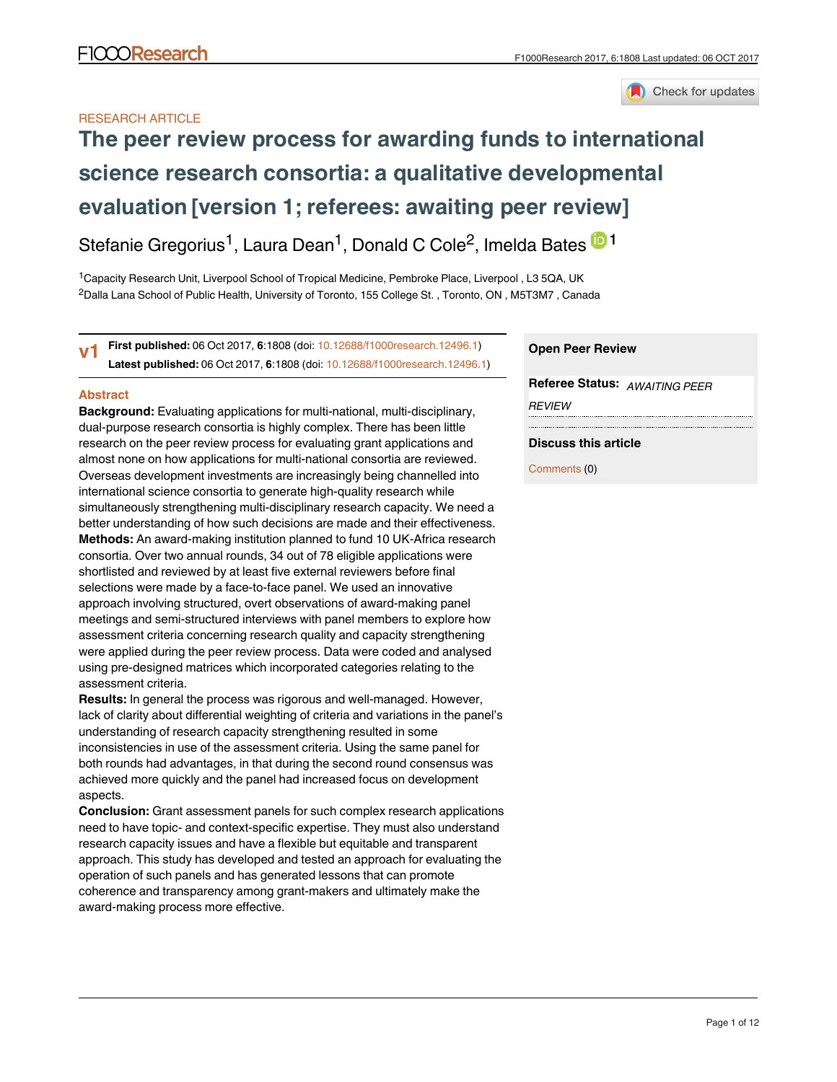

# RESEARCH ARTICLE

# **[The peer review process for awarding funds to international](https://f1000research.com/articles/6-1808/v1) [science research consortia: a qualitative developmental](https://f1000research.com/articles/6-1808/v1) [evaluation](https://f1000research.com/articles/6-1808/v1) [version 1; referees: awaiting peer review]**

Stefanie Gregorius<sup>1</sup>, Laura Dean<sup>1</sup>, Donald C Cole<sup>2</sup>, Imelda Bates <sup>in 1</sup>

<sup>1</sup> Capacity Research Unit, Liverpool School of Tropical Medicine, Pembroke Place, Liverpool, L3 5QA, UK  $^2$ Dalla Lana School of Public Health, University of Toronto, 155 College St. , Toronto, ON , M5T3M7 , Canada

**First published:** 06 Oct 2017, **6**:1808 (doi: [10.12688/f1000research.12496.1\)](http://dx.doi.org/10.12688/f1000research.12496.1) **Latest published:** 06 Oct 2017, **6**:1808 (doi: [10.12688/f1000research.12496.1](http://dx.doi.org/10.12688/f1000research.12496.1)) **v1**

# **Abstract**

**Background:** Evaluating applications for multi-national, multi-disciplinary, dual-purpose research consortia is highly complex. There has been little research on the peer review process for evaluating grant applications and almost none on how applications for multi-national consortia are reviewed. Overseas development investments are increasingly being channelled into international science consortia to generate high-quality research while simultaneously strengthening multi-disciplinary research capacity. We need a better understanding of how such decisions are made and their effectiveness. **Methods:** An award-making institution planned to fund 10 UK-Africa research consortia. Over two annual rounds, 34 out of 78 eligible applications were shortlisted and reviewed by at least five external reviewers before final selections were made by a face-to-face panel. We used an innovative approach involving structured, overt observations of award-making panel meetings and semi-structured interviews with panel members to explore how assessment criteria concerning research quality and capacity strengthening were applied during the peer review process. Data were coded and analysed using pre-designed matrices which incorporated categories relating to the assessment criteria.

**Results:** In general the process was rigorous and well-managed. However, lack of clarity about differential weighting of criteria and variations in the panel's understanding of research capacity strengthening resulted in some inconsistencies in use of the assessment criteria. Using the same panel for both rounds had advantages, in that during the second round consensus was achieved more quickly and the panel had increased focus on development aspects.

**Conclusion:** Grant assessment panels for such complex research applications need to have topic- and context-specific expertise. They must also understand research capacity issues and have a flexible but equitable and transparent approach. This study has developed and tested an approach for evaluating the operation of such panels and has generated lessons that can promote coherence and transparency among grant-makers and ultimately make the award-making process more effective.

# **Open Peer Review**

**Referee Status:** *AWAITING PEER REVIEW*

# **Discuss this article**

Comments (0)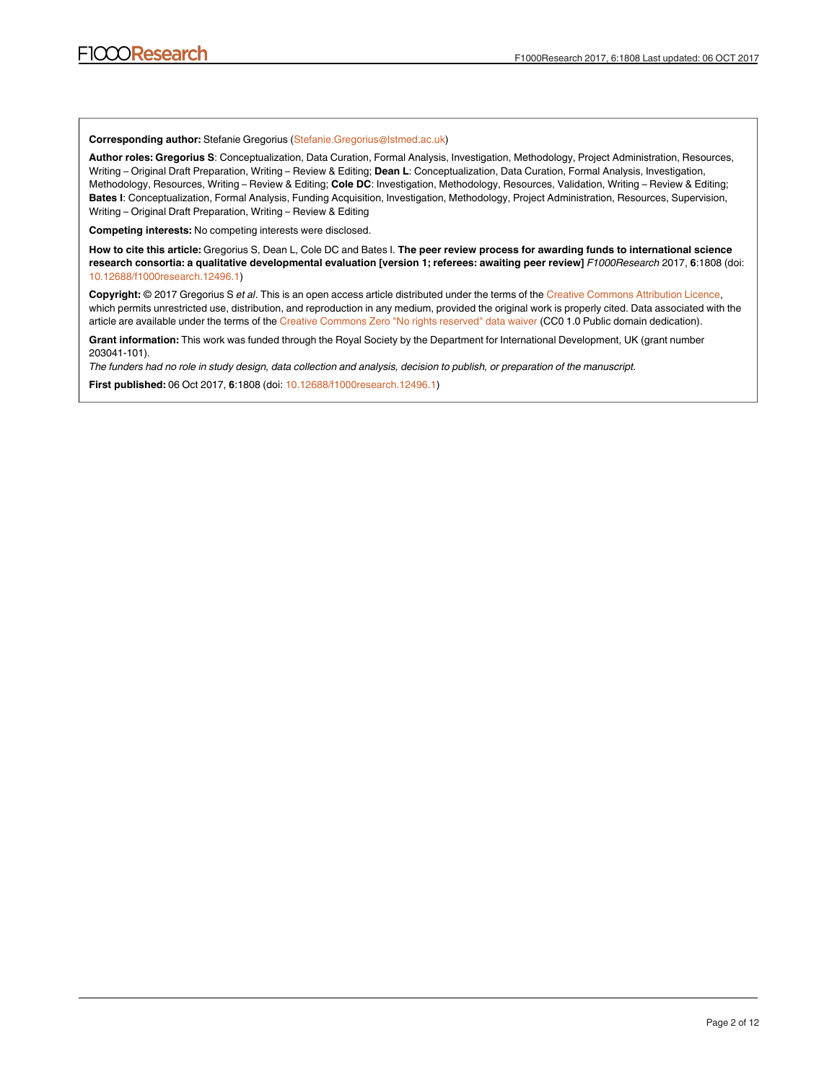## **Corresponding author:** Stefanie Gregorius (Stefanie.Gregorius@lstmed.ac.uk)

**Author roles: Gregorius S**: Conceptualization, Data Curation, Formal Analysis, Investigation, Methodology, Project Administration, Resources, Writing – Original Draft Preparation, Writing – Review & Editing; **Dean L**: Conceptualization, Data Curation, Formal Analysis, Investigation, Methodology, Resources, Writing – Review & Editing; **Cole DC**: Investigation, Methodology, Resources, Validation, Writing – Review & Editing; **Bates I**: Conceptualization, Formal Analysis, Funding Acquisition, Investigation, Methodology, Project Administration, Resources, Supervision, Writing – Original Draft Preparation, Writing – Review & Editing

**Competing interests:** No competing interests were disclosed.

**How to cite this article:** Gregorius S, Dean L, Cole DC and Bates I. **The peer review process for awarding funds to international science research consortia: a qualitative developmental evaluation [version 1; referees: awaiting peer review]** *F1000Research* 2017, **6**:1808 (doi: [10.12688/f1000research.12496.1\)](http://dx.doi.org/10.12688/f1000research.12496.1)

**Copyright:** © 2017 Gregorius S *et al*. This is an open access article distributed under the terms of the [Creative Commons Attribution Licence,](http://creativecommons.org/licenses/by/4.0/) which permits unrestricted use, distribution, and reproduction in any medium, provided the original work is properly cited. Data associated with the article are available under the terms of the [Creative Commons Zero "No rights reserved" data waiver](http://creativecommons.org/publicdomain/zero/1.0/) (CC0 1.0 Public domain dedication).

**Grant information:** This work was funded through the Royal Society by the Department for International Development, UK (grant number 203041-101).

*The funders had no role in study design, data collection and analysis, decision to publish, or preparation of the manuscript.*

**First published:** 06 Oct 2017, **6**:1808 (doi: [10.12688/f1000research.12496.1](http://dx.doi.org/10.12688/f1000research.12496.1))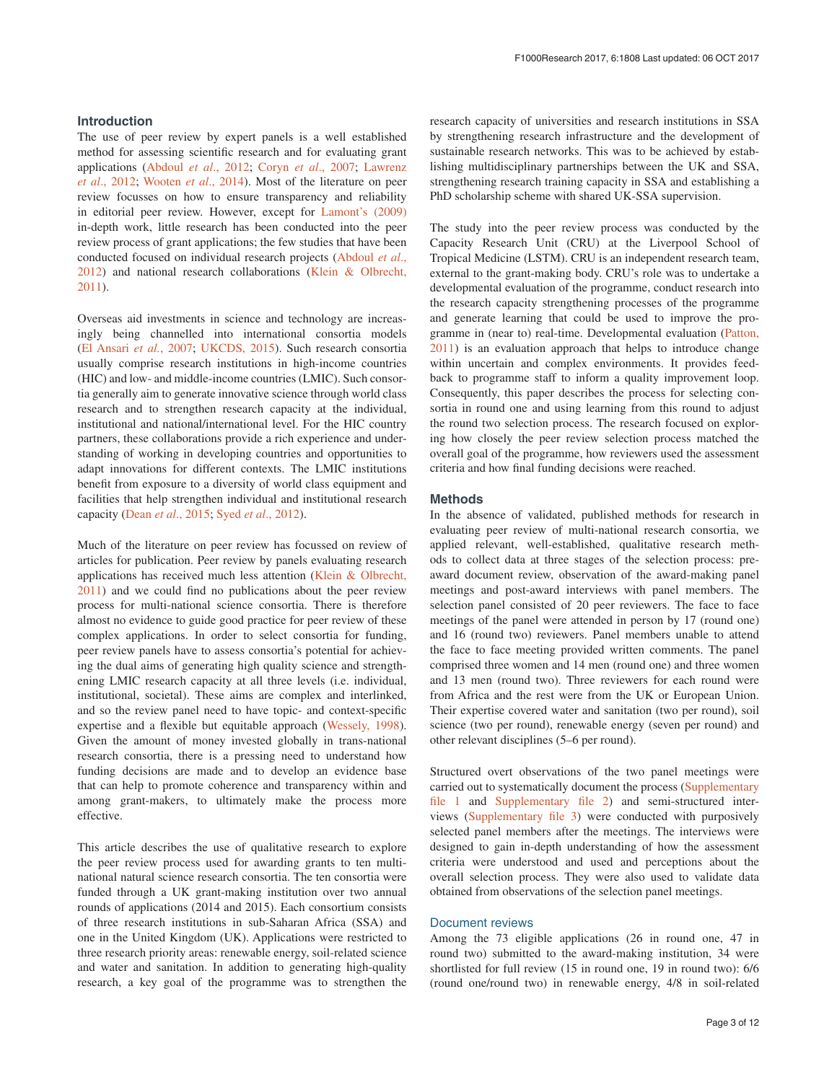# **Introduction**

The use of peer review by expert panels is a well established method for assessing scientific research and for evaluating grant applications [\(Abdoul](#page-11-0) *et al*., 2012; Coryn *et al*[., 2007;](#page-11-0) [Lawrenz](#page-11-0)  *et al*[., 2012](#page-11-0); [Wooten](#page-11-0) *et al*., 2014). Most of the literature on peer review focusses on how to ensure transparency and reliability in editorial peer review. However, except for [Lamont's \(2009\)](#page-11-0) in-depth work, little research has been conducted into the peer review process of grant applications; the few studies that have been conducted focused on individual research projects ([Abdoul](#page-11-0) *et al*., [2012\)](#page-11-0) and national research collaborations [\(Klein & Olbrecht,](#page-11-0)  [2011\)](#page-11-0).

Overseas aid investments in science and technology are increasingly being channelled into international consortia models ([El Ansari](#page-11-0) *et al.*, 2007; [UKCDS, 2015](#page-11-0)). Such research consortia usually comprise research institutions in high-income countries (HIC) and low- and middle-income countries (LMIC). Such consortia generally aim to generate innovative science through world class research and to strengthen research capacity at the individual, institutional and national/international level. For the HIC country partners, these collaborations provide a rich experience and understanding of working in developing countries and opportunities to adapt innovations for different contexts. The LMIC institutions benefit from exposure to a diversity of world class equipment and facilities that help strengthen individual and institutional research capacity (Dean *et al*[., 2015;](#page-11-0) Syed *et al*[., 2012](#page-11-0)).

Much of the literature on peer review has focussed on review of articles for publication. Peer review by panels evaluating research applications has received much less attention [\(Klein & Olbrecht,](#page-11-0)  [2011\)](#page-11-0) and we could find no publications about the peer review process for multi-national science consortia. There is therefore almost no evidence to guide good practice for peer review of these complex applications. In order to select consortia for funding, peer review panels have to assess consortia's potential for achieving the dual aims of generating high quality science and strengthening LMIC research capacity at all three levels (i.e. individual, institutional, societal). These aims are complex and interlinked, and so the review panel need to have topic- and context-specific expertise and a flexible but equitable approach [\(Wessely, 1998](#page-11-0)). Given the amount of money invested globally in trans-national research consortia, there is a pressing need to understand how funding decisions are made and to develop an evidence base that can help to promote coherence and transparency within and among grant-makers, to ultimately make the process more effective.

This article describes the use of qualitative research to explore the peer review process used for awarding grants to ten multinational natural science research consortia. The ten consortia were funded through a UK grant-making institution over two annual rounds of applications (2014 and 2015). Each consortium consists of three research institutions in sub-Saharan Africa (SSA) and one in the United Kingdom (UK). Applications were restricted to three research priority areas: renewable energy, soil-related science and water and sanitation. In addition to generating high-quality research, a key goal of the programme was to strengthen the research capacity of universities and research institutions in SSA by strengthening research infrastructure and the development of sustainable research networks. This was to be achieved by establishing multidisciplinary partnerships between the UK and SSA, strengthening research training capacity in SSA and establishing a PhD scholarship scheme with shared UK-SSA supervision.

The study into the peer review process was conducted by the Capacity Research Unit (CRU) at the Liverpool School of Tropical Medicine (LSTM). CRU is an independent research team, external to the grant-making body. CRU's role was to undertake a developmental evaluation of the programme, conduct research into the research capacity strengthening processes of the programme and generate learning that could be used to improve the programme in (near to) real-time. Developmental evaluation [\(Patton,](#page-11-0)  [2011\)](#page-11-0) is an evaluation approach that helps to introduce change within uncertain and complex environments. It provides feedback to programme staff to inform a quality improvement loop. Consequently, this paper describes the process for selecting consortia in round one and using learning from this round to adjust the round two selection process. The research focused on exploring how closely the peer review selection process matched the overall goal of the programme, how reviewers used the assessment criteria and how final funding decisions were reached.

## **Methods**

In the absence of validated, published methods for research in evaluating peer review of multi-national research consortia, we applied relevant, well-established, qualitative research methods to collect data at three stages of the selection process: preaward document review, observation of the award-making panel meetings and post-award interviews with panel members. The selection panel consisted of 20 peer reviewers. The face to face meetings of the panel were attended in person by 17 (round one) and 16 (round two) reviewers. Panel members unable to attend the face to face meeting provided written comments. The panel comprised three women and 14 men (round one) and three women and 13 men (round two). Three reviewers for each round were from Africa and the rest were from the UK or European Union. Their expertise covered water and sanitation (two per round), soil science (two per round), renewable energy (seven per round) and other relevant disciplines (5–6 per round).

Structured overt observations of the two panel meetings were carried out to systematically document the process [\(Supplementary](#page-11-0) [file 1](#page-11-0) and [Supplementary file 2](#page-11-0)) and semi-structured interviews ([Supplementary file 3](#page-11-0)) were conducted with purposively selected panel members after the meetings. The interviews were designed to gain in-depth understanding of how the assessment criteria were understood and used and perceptions about the overall selection process. They were also used to validate data obtained from observations of the selection panel meetings.

# Document reviews

Among the 73 eligible applications (26 in round one, 47 in round two) submitted to the award-making institution, 34 were shortlisted for full review (15 in round one, 19 in round two): 6/6 (round one/round two) in renewable energy, 4/8 in soil-related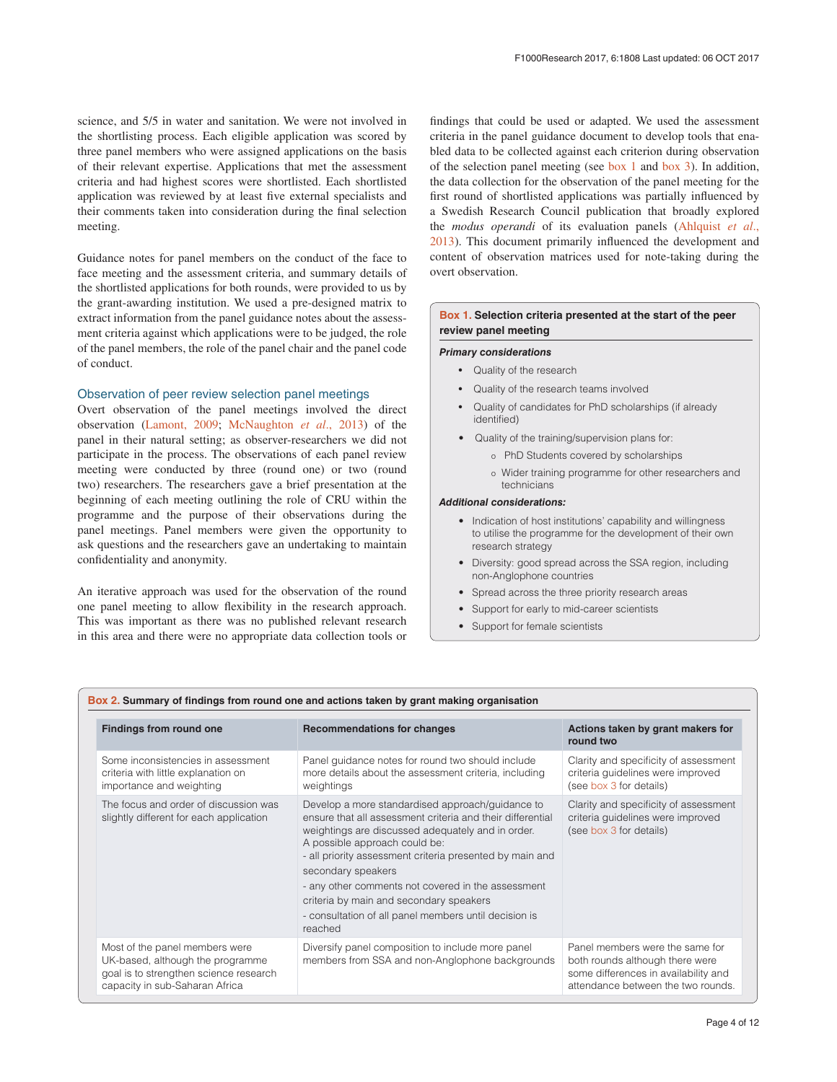<span id="page-3-0"></span>science, and 5/5 in water and sanitation. We were not involved in the shortlisting process. Each eligible application was scored by three panel members who were assigned applications on the basis of their relevant expertise. Applications that met the assessment criteria and had highest scores were shortlisted. Each shortlisted application was reviewed by at least five external specialists and their comments taken into consideration during the final selection meeting.

Guidance notes for panel members on the conduct of the face to face meeting and the assessment criteria, and summary details of the shortlisted applications for both rounds, were provided to us by the grant-awarding institution. We used a pre-designed matrix to extract information from the panel guidance notes about the assessment criteria against which applications were to be judged, the role of the panel members, the role of the panel chair and the panel code of conduct.

# Observation of peer review selection panel meetings

Overt observation of the panel meetings involved the direct observation ([Lamont, 2009;](#page-11-0) [McNaughton](#page-11-0) *et al*., 2013) of the panel in their natural setting; as observer-researchers we did not participate in the process. The observations of each panel review meeting were conducted by three (round one) or two (round two) researchers. The researchers gave a brief presentation at the beginning of each meeting outlining the role of CRU within the programme and the purpose of their observations during the panel meetings. Panel members were given the opportunity to ask questions and the researchers gave an undertaking to maintain confidentiality and anonymity.

An iterative approach was used for the observation of the round one panel meeting to allow flexibility in the research approach. This was important as there was no published relevant research in this area and there were no appropriate data collection tools or

findings that could be used or adapted. We used the assessment criteria in the panel guidance document to develop tools that enabled data to be collected against each criterion during observation of the selection panel meeting (see box 1 and [box 3](#page-4-0)). In addition, the data collection for the observation of the panel meeting for the first round of shortlisted applications was partially influenced by a Swedish Research Council publication that broadly explored the *modus operandi* of its evaluation panels [\(Ahlquist](#page-11-0) *et al*., [2013\)](#page-11-0). This document primarily influenced the development and content of observation matrices used for note-taking during the overt observation.

# **Box 1. Selection criteria presented at the start of the peer review panel meeting**

### *Primary considerations*

- Quality of the research
- Quality of the research teams involved
- Quality of candidates for PhD scholarships (if already identified)
- Quality of the training/supervision plans for:
	- o PhD Students covered by scholarships
	- o Wider training programme for other researchers and technicians

## *Additional considerations:*

- Indication of host institutions' capability and willingness to utilise the programme for the development of their own research strategy
- Diversity: good spread across the SSA region, including non-Anglophone countries
- Spread across the three priority research areas
- Support for early to mid-career scientists
- Support for female scientists

## **Box 2. Summary of findings from round one and actions taken by grant making organisation**

| <b>Findings from round one</b>                                                                                                                 | <b>Recommendations for changes</b>                                                                                                                                                                                                                                                                                                                                                                                                                          | Actions taken by grant makers for<br>round two                                                                                                   |
|------------------------------------------------------------------------------------------------------------------------------------------------|-------------------------------------------------------------------------------------------------------------------------------------------------------------------------------------------------------------------------------------------------------------------------------------------------------------------------------------------------------------------------------------------------------------------------------------------------------------|--------------------------------------------------------------------------------------------------------------------------------------------------|
| Some inconsistencies in assessment<br>criteria with little explanation on<br>importance and weighting                                          | Panel guidance notes for round two should include<br>more details about the assessment criteria, including<br>weightings                                                                                                                                                                                                                                                                                                                                    | Clarity and specificity of assessment<br>criteria guidelines were improved<br>(see box 3 for details)                                            |
| The focus and order of discussion was<br>slightly different for each application                                                               | Develop a more standardised approach/quidance to<br>ensure that all assessment criteria and their differential<br>weightings are discussed adequately and in order.<br>A possible approach could be:<br>- all priority assessment criteria presented by main and<br>secondary speakers<br>- any other comments not covered in the assessment<br>criteria by main and secondary speakers<br>- consultation of all panel members until decision is<br>reached | Clarity and specificity of assessment<br>criteria quidelines were improved<br>(see box 3 for details)                                            |
| Most of the panel members were<br>UK-based, although the programme<br>goal is to strengthen science research<br>capacity in sub-Saharan Africa | Diversify panel composition to include more panel<br>members from SSA and non-Anglophone backgrounds                                                                                                                                                                                                                                                                                                                                                        | Panel members were the same for<br>both rounds although there were<br>some differences in availability and<br>attendance between the two rounds. |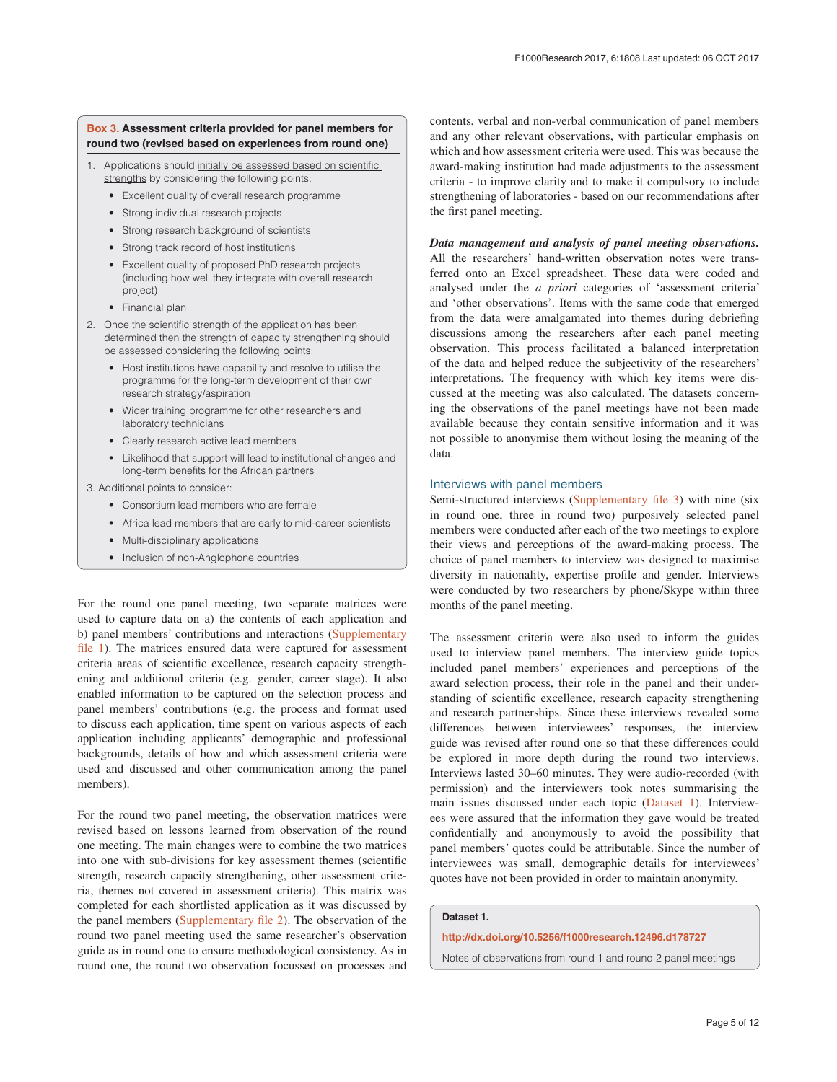# <span id="page-4-0"></span>**Box 3. Assessment criteria provided for panel members for round two (revised based on experiences from round one)**

- 1. Applications should initially be assessed based on scientific strengths by considering the following points:
	- Excellent quality of overall research programme
	- Strong individual research projects
	- Strong research background of scientists
	- Strong track record of host institutions
	- Excellent quality of proposed PhD research projects (including how well they integrate with overall research project)
	- Financial plan
- 2. Once the scientific strength of the application has been determined then the strength of capacity strengthening should be assessed considering the following points:
	- Host institutions have capability and resolve to utilise the programme for the long-term development of their own research strategy/aspiration
	- Wider training programme for other researchers and laboratory technicians
	- Clearly research active lead members
	- Likelihood that support will lead to institutional changes and long-term benefits for the African partners
- 3. Additional points to consider:
	- Consortium lead members who are female
	- Africa lead members that are early to mid-career scientists
	- Multi-disciplinary applications
	- Inclusion of non-Anglophone countries

For the round one panel meeting, two separate matrices were used to capture data on a) the contents of each application and b) panel members' contributions and interactions [\(Supplementary](#page-11-0)  [file 1](#page-11-0)). The matrices ensured data were captured for assessment criteria areas of scientific excellence, research capacity strengthening and additional criteria (e.g. gender, career stage). It also enabled information to be captured on the selection process and panel members' contributions (e.g. the process and format used to discuss each application, time spent on various aspects of each application including applicants' demographic and professional backgrounds, details of how and which assessment criteria were used and discussed and other communication among the panel members).

For the round two panel meeting, the observation matrices were revised based on lessons learned from observation of the round one meeting. The main changes were to combine the two matrices into one with sub-divisions for key assessment themes (scientific strength, research capacity strengthening, other assessment criteria, themes not covered in assessment criteria). This matrix was completed for each shortlisted application as it was discussed by the panel members [\(Supplementary file 2](#page-11-0)). The observation of the round two panel meeting used the same researcher's observation guide as in round one to ensure methodological consistency. As in round one, the round two observation focussed on processes and

contents, verbal and non-verbal communication of panel members and any other relevant observations, with particular emphasis on which and how assessment criteria were used. This was because the award-making institution had made adjustments to the assessment criteria - to improve clarity and to make it compulsory to include strengthening of laboratories - based on our recommendations after the first panel meeting.

## *Data management and analysis of panel meeting observations.*

All the researchers' hand-written observation notes were transferred onto an Excel spreadsheet. These data were coded and analysed under the *a priori* categories of 'assessment criteria' and 'other observations'. Items with the same code that emerged from the data were amalgamated into themes during debriefing discussions among the researchers after each panel meeting observation. This process facilitated a balanced interpretation of the data and helped reduce the subjectivity of the researchers' interpretations. The frequency with which key items were discussed at the meeting was also calculated. The datasets concerning the observations of the panel meetings have not been made available because they contain sensitive information and it was not possible to anonymise them without losing the meaning of the data.

# Interviews with panel members

Semi-structured interviews [\(Supplementary file 3](#page-11-0)) with nine (six in round one, three in round two) purposively selected panel members were conducted after each of the two meetings to explore their views and perceptions of the award-making process. The choice of panel members to interview was designed to maximise diversity in nationality, expertise profile and gender. Interviews were conducted by two researchers by phone/Skype within three months of the panel meeting.

The assessment criteria were also used to inform the guides used to interview panel members. The interview guide topics included panel members' experiences and perceptions of the award selection process, their role in the panel and their understanding of scientific excellence, research capacity strengthening and research partnerships. Since these interviews revealed some differences between interviewees' responses, the interview guide was revised after round one so that these differences could be explored in more depth during the round two interviews. Interviews lasted 30–60 minutes. They were audio-recorded (with permission) and the interviewers took notes summarising the main issues discussed under each topic (Dataset 1). Interviewees were assured that the information they gave would be treated confidentially and anonymously to avoid the possibility that panel members' quotes could be attributable. Since the number of interviewees was small, demographic details for interviewees' quotes have not been provided in order to maintain anonymity.

# **Dataset 1.**

# **<http://dx.doi.org/10.5256/f1000research.12496.d178727>**

Notes of observations from round 1 and round 2 panel meetings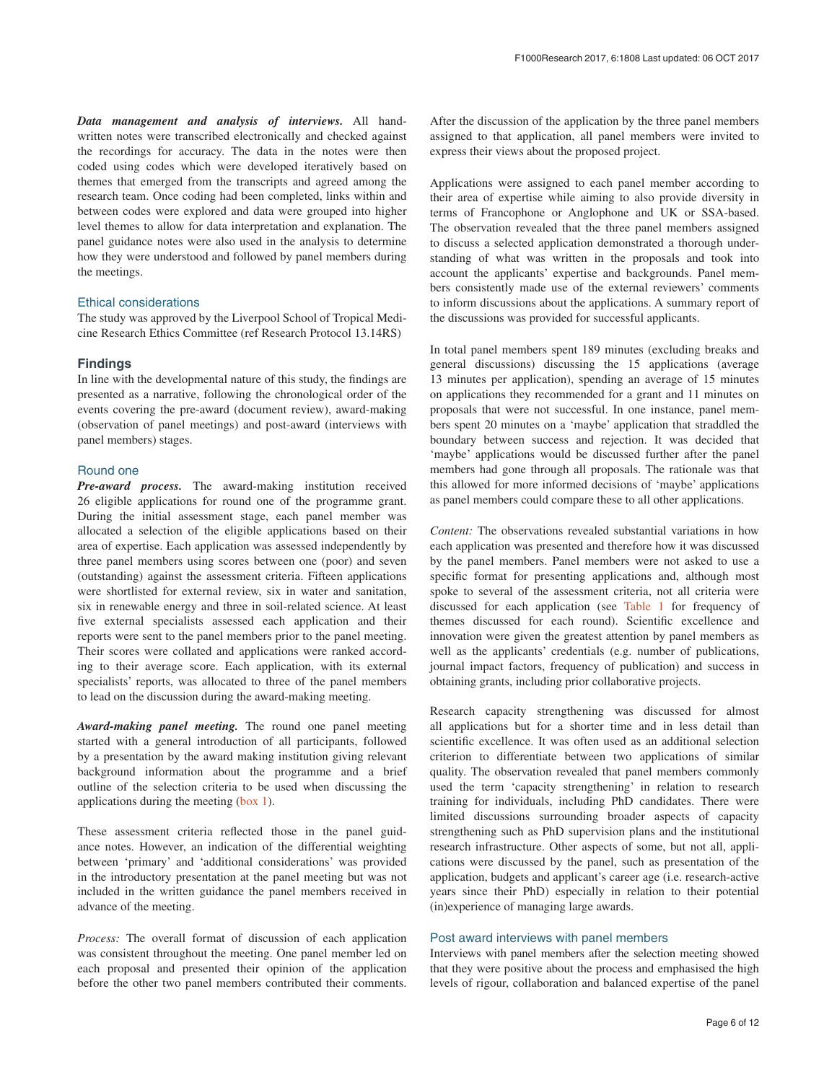*Data management and analysis of interviews.* All handwritten notes were transcribed electronically and checked against the recordings for accuracy. The data in the notes were then coded using codes which were developed iteratively based on themes that emerged from the transcripts and agreed among the research team. Once coding had been completed, links within and between codes were explored and data were grouped into higher level themes to allow for data interpretation and explanation. The panel guidance notes were also used in the analysis to determine how they were understood and followed by panel members during the meetings.

# Ethical considerations

The study was approved by the Liverpool School of Tropical Medicine Research Ethics Committee (ref Research Protocol 13.14RS)

# **Findings**

In line with the developmental nature of this study, the findings are presented as a narrative, following the chronological order of the events covering the pre-award (document review), award-making (observation of panel meetings) and post-award (interviews with panel members) stages.

# Round one

*Pre-award process.* The award-making institution received 26 eligible applications for round one of the programme grant. During the initial assessment stage, each panel member was allocated a selection of the eligible applications based on their area of expertise. Each application was assessed independently by three panel members using scores between one (poor) and seven (outstanding) against the assessment criteria. Fifteen applications were shortlisted for external review, six in water and sanitation, six in renewable energy and three in soil-related science. At least five external specialists assessed each application and their reports were sent to the panel members prior to the panel meeting. Their scores were collated and applications were ranked according to their average score. Each application, with its external specialists' reports, was allocated to three of the panel members to lead on the discussion during the award-making meeting.

*Award-making panel meeting.* The round one panel meeting started with a general introduction of all participants, followed by a presentation by the award making institution giving relevant background information about the programme and a brief outline of the selection criteria to be used when discussing the applications during the meeting ([box 1\)](#page-3-0).

These assessment criteria reflected those in the panel guidance notes. However, an indication of the differential weighting between 'primary' and 'additional considerations' was provided in the introductory presentation at the panel meeting but was not included in the written guidance the panel members received in advance of the meeting.

*Process:* The overall format of discussion of each application was consistent throughout the meeting. One panel member led on each proposal and presented their opinion of the application before the other two panel members contributed their comments.

After the discussion of the application by the three panel members assigned to that application, all panel members were invited to express their views about the proposed project.

Applications were assigned to each panel member according to their area of expertise while aiming to also provide diversity in terms of Francophone or Anglophone and UK or SSA-based. The observation revealed that the three panel members assigned to discuss a selected application demonstrated a thorough understanding of what was written in the proposals and took into account the applicants' expertise and backgrounds. Panel members consistently made use of the external reviewers' comments to inform discussions about the applications. A summary report of the discussions was provided for successful applicants.

In total panel members spent 189 minutes (excluding breaks and general discussions) discussing the 15 applications (average 13 minutes per application), spending an average of 15 minutes on applications they recommended for a grant and 11 minutes on proposals that were not successful. In one instance, panel members spent 20 minutes on a 'maybe' application that straddled the boundary between success and rejection. It was decided that 'maybe' applications would be discussed further after the panel members had gone through all proposals. The rationale was that this allowed for more informed decisions of 'maybe' applications as panel members could compare these to all other applications.

*Content:* The observations revealed substantial variations in how each application was presented and therefore how it was discussed by the panel members. Panel members were not asked to use a specific format for presenting applications and, although most spoke to several of the assessment criteria, not all criteria were discussed for each application (see [Table 1](#page-6-0) for frequency of themes discussed for each round). Scientific excellence and innovation were given the greatest attention by panel members as well as the applicants' credentials (e.g. number of publications, journal impact factors, frequency of publication) and success in obtaining grants, including prior collaborative projects.

Research capacity strengthening was discussed for almost all applications but for a shorter time and in less detail than scientific excellence. It was often used as an additional selection criterion to differentiate between two applications of similar quality. The observation revealed that panel members commonly used the term 'capacity strengthening' in relation to research training for individuals, including PhD candidates. There were limited discussions surrounding broader aspects of capacity strengthening such as PhD supervision plans and the institutional research infrastructure. Other aspects of some, but not all, applications were discussed by the panel, such as presentation of the application, budgets and applicant's career age (i.e. research-active years since their PhD) especially in relation to their potential (in)experience of managing large awards.

# Post award interviews with panel members

Interviews with panel members after the selection meeting showed that they were positive about the process and emphasised the high levels of rigour, collaboration and balanced expertise of the panel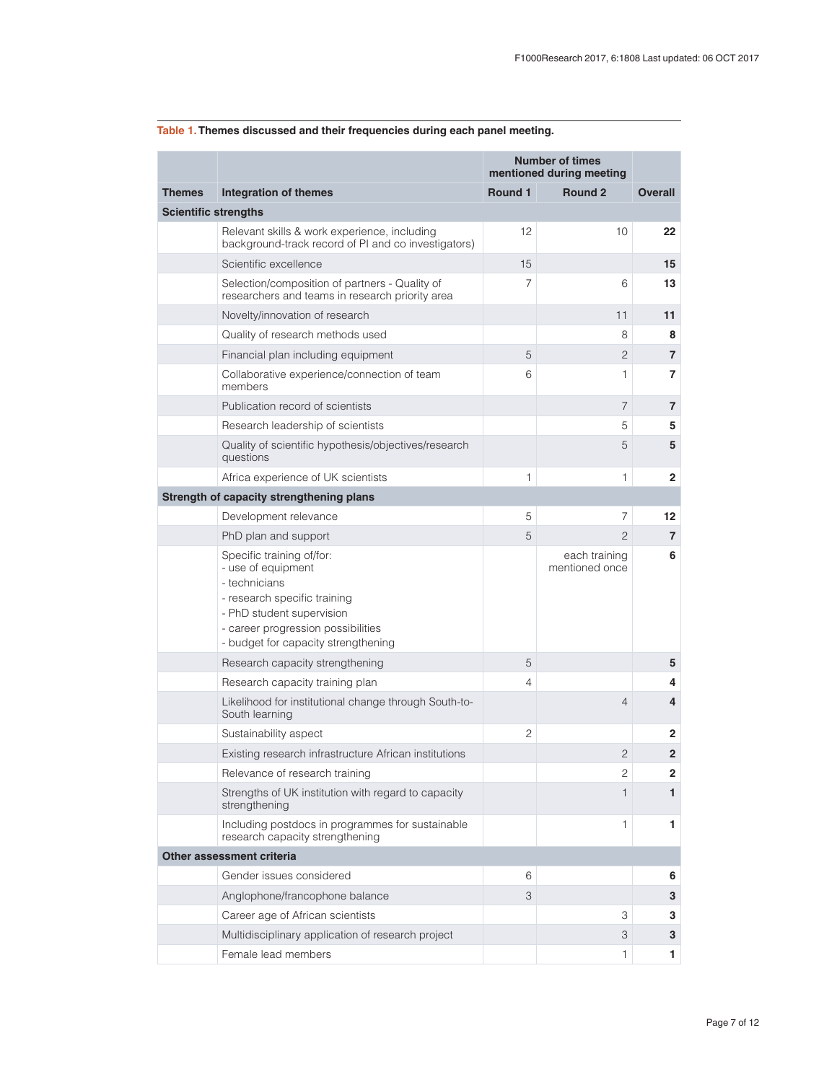|               |                                                                                                                                                                                                            | <b>Number of times</b><br>mentioned during meeting |                                 |                   |  |  |  |
|---------------|------------------------------------------------------------------------------------------------------------------------------------------------------------------------------------------------------------|----------------------------------------------------|---------------------------------|-------------------|--|--|--|
| <b>Themes</b> | <b>Integration of themes</b>                                                                                                                                                                               | Round 1                                            | <b>Round 2</b>                  | <b>Overall</b>    |  |  |  |
|               | <b>Scientific strengths</b>                                                                                                                                                                                |                                                    |                                 |                   |  |  |  |
|               | Relevant skills & work experience, including<br>background-track record of PI and co investigators)                                                                                                        | 12                                                 | 10                              | 22                |  |  |  |
|               | Scientific excellence                                                                                                                                                                                      | 15                                                 |                                 | 15                |  |  |  |
|               | Selection/composition of partners - Quality of<br>researchers and teams in research priority area                                                                                                          | 7                                                  | 6                               | 13                |  |  |  |
|               | Novelty/innovation of research                                                                                                                                                                             |                                                    | 11                              | 11                |  |  |  |
|               | Quality of research methods used                                                                                                                                                                           |                                                    | 8                               | 8                 |  |  |  |
|               | Financial plan including equipment                                                                                                                                                                         | 5                                                  | 2                               | $\overline{7}$    |  |  |  |
|               | Collaborative experience/connection of team<br>members                                                                                                                                                     | 6                                                  | 1                               | $\overline{7}$    |  |  |  |
|               | Publication record of scientists                                                                                                                                                                           |                                                    | $\overline{7}$                  | 7                 |  |  |  |
|               | Research leadership of scientists                                                                                                                                                                          |                                                    | 5                               | 5                 |  |  |  |
|               | Quality of scientific hypothesis/objectives/research<br>questions                                                                                                                                          |                                                    | 5                               | 5                 |  |  |  |
|               | Africa experience of UK scientists                                                                                                                                                                         | 1                                                  | 1                               | $\mathbf{2}$      |  |  |  |
|               | Strength of capacity strengthening plans                                                                                                                                                                   |                                                    |                                 |                   |  |  |  |
|               | Development relevance                                                                                                                                                                                      | 5                                                  | 7                               | $12 \overline{ }$ |  |  |  |
|               | PhD plan and support                                                                                                                                                                                       | 5                                                  | $\overline{c}$                  | $\overline{7}$    |  |  |  |
|               | Specific training of/for:<br>- use of equipment<br>- technicians<br>- research specific training<br>- PhD student supervision<br>- career progression possibilities<br>- budget for capacity strengthening |                                                    | each training<br>mentioned once | 6                 |  |  |  |
|               | Research capacity strengthening                                                                                                                                                                            | 5                                                  |                                 | 5                 |  |  |  |
|               | Research capacity training plan                                                                                                                                                                            | 4                                                  |                                 | 4                 |  |  |  |
|               | Likelihood for institutional change through South-to-<br>South learning                                                                                                                                    |                                                    | 4                               | 4                 |  |  |  |
|               | Sustainability aspect                                                                                                                                                                                      | $\overline{c}$                                     |                                 | $\mathbf{2}$      |  |  |  |
|               | Existing research infrastructure African institutions                                                                                                                                                      |                                                    | $\overline{2}$                  | $\overline{2}$    |  |  |  |
|               | Relevance of research training                                                                                                                                                                             |                                                    | 2                               | $\mathbf{2}$      |  |  |  |
|               | Strengths of UK institution with regard to capacity<br>strengthening                                                                                                                                       |                                                    | 1                               | 1                 |  |  |  |
|               | Including postdocs in programmes for sustainable<br>research capacity strengthening                                                                                                                        |                                                    | 1                               | 1                 |  |  |  |
|               | Other assessment criteria                                                                                                                                                                                  |                                                    |                                 |                   |  |  |  |
|               | Gender issues considered                                                                                                                                                                                   | 6                                                  |                                 | 6                 |  |  |  |
|               | Anglophone/francophone balance                                                                                                                                                                             | 3                                                  |                                 | 3                 |  |  |  |
|               | Career age of African scientists                                                                                                                                                                           |                                                    | 3                               | 3                 |  |  |  |
|               | Multidisciplinary application of research project                                                                                                                                                          |                                                    | 3                               | 3                 |  |  |  |
|               | Female lead members                                                                                                                                                                                        |                                                    | 1                               | 1                 |  |  |  |

# <span id="page-6-0"></span>**Table 1. Themes discussed and their frequencies during each panel meeting.**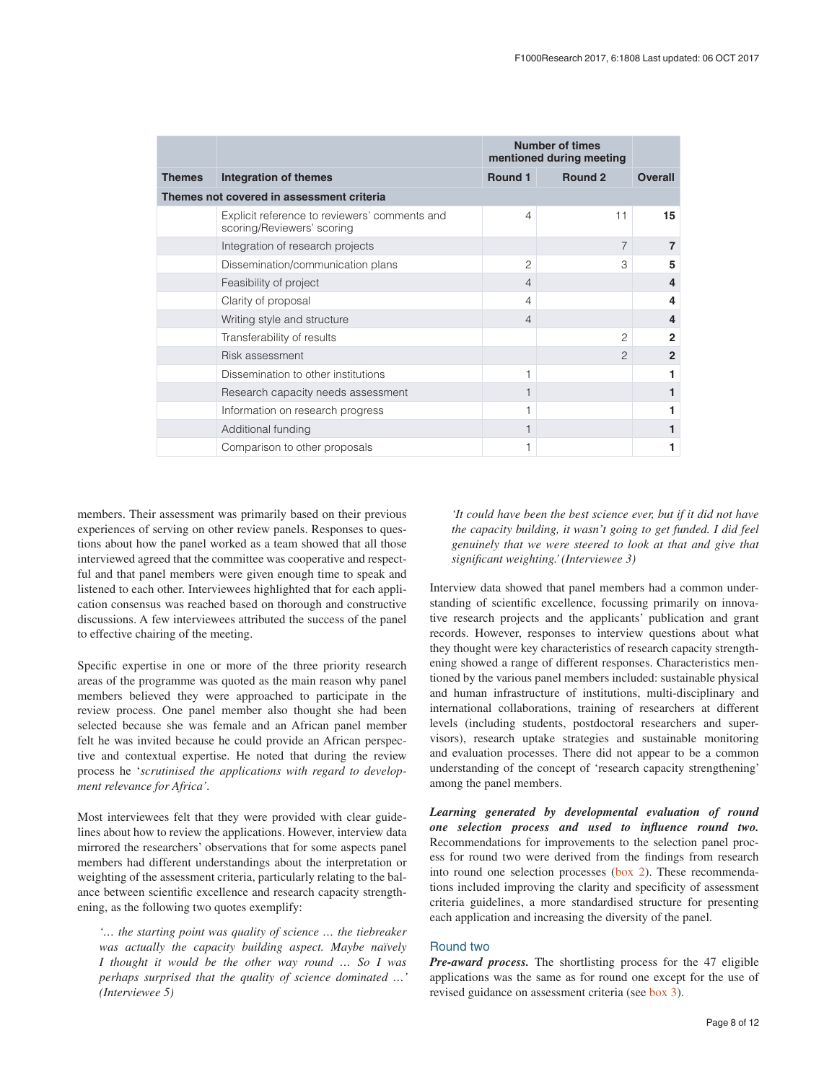|                                           |                                                                             | <b>Number of times</b><br>mentioned during meeting |                    |                |
|-------------------------------------------|-----------------------------------------------------------------------------|----------------------------------------------------|--------------------|----------------|
| <b>Themes</b>                             | Integration of themes                                                       | <b>Round 1</b>                                     | Round <sub>2</sub> | <b>Overall</b> |
| Themes not covered in assessment criteria |                                                                             |                                                    |                    |                |
|                                           | Explicit reference to reviewers' comments and<br>scoring/Reviewers' scoring | $\overline{4}$                                     | 11                 | 15             |
|                                           | Integration of research projects                                            |                                                    | $\overline{7}$     | $\overline{7}$ |
|                                           | Dissemination/communication plans                                           | $\overline{c}$                                     | 3                  | 5              |
|                                           | Feasibility of project                                                      | $\overline{4}$                                     |                    | 4              |
|                                           | Clarity of proposal                                                         | 4                                                  |                    | 4              |
|                                           | Writing style and structure                                                 | $\overline{4}$                                     |                    | $\overline{4}$ |
|                                           | Transferability of results                                                  |                                                    | $\overline{c}$     | $\mathbf{2}$   |
|                                           | Risk assessment                                                             |                                                    | $\overline{c}$     | $\mathbf{2}$   |
|                                           | Dissemination to other institutions                                         | 1                                                  |                    |                |
|                                           | Research capacity needs assessment                                          |                                                    |                    |                |
|                                           | Information on research progress                                            |                                                    |                    |                |
|                                           | Additional funding                                                          |                                                    |                    |                |
|                                           | Comparison to other proposals                                               |                                                    |                    |                |

members. Their assessment was primarily based on their previous experiences of serving on other review panels. Responses to questions about how the panel worked as a team showed that all those interviewed agreed that the committee was cooperative and respectful and that panel members were given enough time to speak and listened to each other. Interviewees highlighted that for each application consensus was reached based on thorough and constructive discussions. A few interviewees attributed the success of the panel to effective chairing of the meeting.

Specific expertise in one or more of the three priority research areas of the programme was quoted as the main reason why panel members believed they were approached to participate in the review process. One panel member also thought she had been selected because she was female and an African panel member felt he was invited because he could provide an African perspective and contextual expertise. He noted that during the review process he '*scrutinised the applications with regard to development relevance for Africa'.*

Most interviewees felt that they were provided with clear guidelines about how to review the applications. However, interview data mirrored the researchers' observations that for some aspects panel members had different understandings about the interpretation or weighting of the assessment criteria, particularly relating to the balance between scientific excellence and research capacity strengthening, as the following two quotes exemplify:

*'… the starting point was quality of science … the tiebreaker was actually the capacity building aspect. Maybe naïvely I thought it would be the other way round … So I was perhaps surprised that the quality of science dominated …' (Interviewee 5)*

*'It could have been the best science ever, but if it did not have the capacity building, it wasn't going to get funded. I did feel genuinely that we were steered to look at that and give that significant weighting.' (Interviewee 3)*

Interview data showed that panel members had a common understanding of scientific excellence, focussing primarily on innovative research projects and the applicants' publication and grant records. However, responses to interview questions about what they thought were key characteristics of research capacity strengthening showed a range of different responses. Characteristics mentioned by the various panel members included: sustainable physical and human infrastructure of institutions, multi-disciplinary and international collaborations, training of researchers at different levels (including students, postdoctoral researchers and supervisors), research uptake strategies and sustainable monitoring and evaluation processes. There did not appear to be a common understanding of the concept of 'research capacity strengthening' among the panel members.

*Learning generated by developmental evaluation of round one selection process and used to influence round two.* Recommendations for improvements to the selection panel process for round two were derived from the findings from research into round one selection processes [\(box 2\)](#page-3-0). These recommendations included improving the clarity and specificity of assessment criteria guidelines, a more standardised structure for presenting each application and increasing the diversity of the panel.

# Round two

*Pre-award process.* The shortlisting process for the 47 eligible applications was the same as for round one except for the use of revised guidance on assessment criteria (see [box 3](#page-4-0)).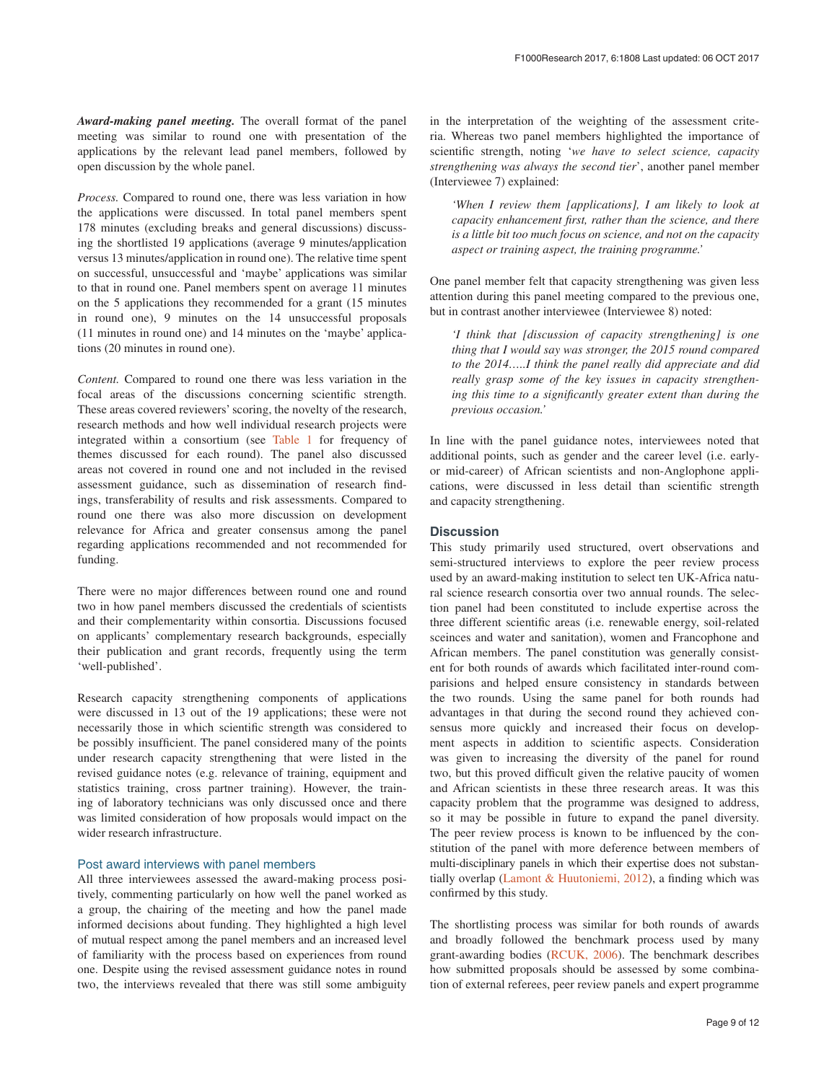*Award-making panel meeting.* The overall format of the panel meeting was similar to round one with presentation of the applications by the relevant lead panel members, followed by open discussion by the whole panel.

*Process.* Compared to round one, there was less variation in how the applications were discussed. In total panel members spent 178 minutes (excluding breaks and general discussions) discussing the shortlisted 19 applications (average 9 minutes/application versus 13 minutes/application in round one). The relative time spent on successful, unsuccessful and 'maybe' applications was similar to that in round one. Panel members spent on average 11 minutes on the 5 applications they recommended for a grant (15 minutes in round one), 9 minutes on the 14 unsuccessful proposals (11 minutes in round one) and 14 minutes on the 'maybe' applications (20 minutes in round one).

*Content.* Compared to round one there was less variation in the focal areas of the discussions concerning scientific strength. These areas covered reviewers' scoring, the novelty of the research, research methods and how well individual research projects were integrated within a consortium (see [Table 1](#page-6-0) for frequency of themes discussed for each round). The panel also discussed areas not covered in round one and not included in the revised assessment guidance, such as dissemination of research findings, transferability of results and risk assessments. Compared to round one there was also more discussion on development relevance for Africa and greater consensus among the panel regarding applications recommended and not recommended for funding.

There were no major differences between round one and round two in how panel members discussed the credentials of scientists and their complementarity within consortia. Discussions focused on applicants' complementary research backgrounds, especially their publication and grant records, frequently using the term 'well-published'.

Research capacity strengthening components of applications were discussed in 13 out of the 19 applications; these were not necessarily those in which scientific strength was considered to be possibly insufficient. The panel considered many of the points under research capacity strengthening that were listed in the revised guidance notes (e.g. relevance of training, equipment and statistics training, cross partner training). However, the training of laboratory technicians was only discussed once and there was limited consideration of how proposals would impact on the wider research infrastructure.

## Post award interviews with panel members

All three interviewees assessed the award-making process positively, commenting particularly on how well the panel worked as a group, the chairing of the meeting and how the panel made informed decisions about funding. They highlighted a high level of mutual respect among the panel members and an increased level of familiarity with the process based on experiences from round one. Despite using the revised assessment guidance notes in round two, the interviews revealed that there was still some ambiguity in the interpretation of the weighting of the assessment criteria. Whereas two panel members highlighted the importance of scientific strength, noting '*we have to select science, capacity strengthening was always the second tier*', another panel member (Interviewee 7) explained:

*'When I review them [applications], I am likely to look at capacity enhancement first, rather than the science, and there is a little bit too much focus on science, and not on the capacity aspect or training aspect, the training programme.'*

One panel member felt that capacity strengthening was given less attention during this panel meeting compared to the previous one, but in contrast another interviewee (Interviewee 8) noted:

*'I think that [discussion of capacity strengthening] is one thing that I would say was stronger, the 2015 round compared to the 2014…..I think the panel really did appreciate and did really grasp some of the key issues in capacity strengthening this time to a significantly greater extent than during the previous occasion.'*

In line with the panel guidance notes, interviewees noted that additional points, such as gender and the career level (i.e. earlyor mid-career) of African scientists and non-Anglophone applications, were discussed in less detail than scientific strength and capacity strengthening.

# **Discussion**

This study primarily used structured, overt observations and semi-structured interviews to explore the peer review process used by an award-making institution to select ten UK-Africa natural science research consortia over two annual rounds. The selection panel had been constituted to include expertise across the three different scientific areas (i.e. renewable energy, soil-related sceinces and water and sanitation), women and Francophone and African members. The panel constitution was generally consistent for both rounds of awards which facilitated inter-round comparisions and helped ensure consistency in standards between the two rounds. Using the same panel for both rounds had advantages in that during the second round they achieved consensus more quickly and increased their focus on development aspects in addition to scientific aspects. Consideration was given to increasing the diversity of the panel for round two, but this proved difficult given the relative paucity of women and African scientists in these three research areas. It was this capacity problem that the programme was designed to address, so it may be possible in future to expand the panel diversity. The peer review process is known to be influenced by the constitution of the panel with more deference between members of multi-disciplinary panels in which their expertise does not substantially overlap [\(Lamont & Huutoniemi, 2012](#page-11-0)), a finding which was confirmed by this study.

The shortlisting process was similar for both rounds of awards and broadly followed the benchmark process used by many grant-awarding bodies [\(RCUK, 2006](#page-11-0)). The benchmark describes how submitted proposals should be assessed by some combination of external referees, peer review panels and expert programme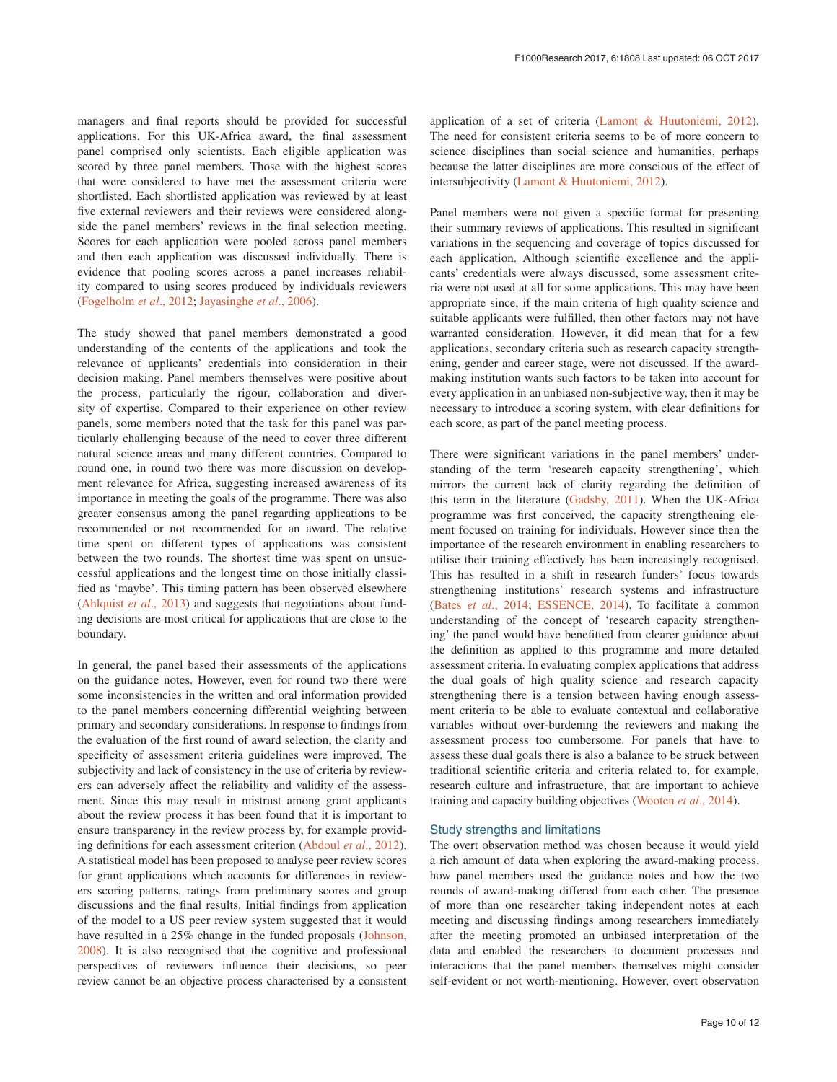managers and final reports should be provided for successful applications. For this UK-Africa award, the final assessment panel comprised only scientists. Each eligible application was scored by three panel members. Those with the highest scores that were considered to have met the assessment criteria were shortlisted. Each shortlisted application was reviewed by at least five external reviewers and their reviews were considered alongside the panel members' reviews in the final selection meeting. Scores for each application were pooled across panel members and then each application was discussed individually. There is evidence that pooling scores across a panel increases reliability compared to using scores produced by individuals reviewers ([Fogelholm](#page-11-0) *et al*., 2012; [Jayasinghe](#page-11-0) *et al*., 2006).

The study showed that panel members demonstrated a good understanding of the contents of the applications and took the relevance of applicants' credentials into consideration in their decision making. Panel members themselves were positive about the process, particularly the rigour, collaboration and diversity of expertise. Compared to their experience on other review panels, some members noted that the task for this panel was particularly challenging because of the need to cover three different natural science areas and many different countries. Compared to round one, in round two there was more discussion on development relevance for Africa, suggesting increased awareness of its importance in meeting the goals of the programme. There was also greater consensus among the panel regarding applications to be recommended or not recommended for an award. The relative time spent on different types of applications was consistent between the two rounds. The shortest time was spent on unsuccessful applications and the longest time on those initially classified as 'maybe'. This timing pattern has been observed elsewhere ([Ahlquist](#page-11-0) *et al*., 2013) and suggests that negotiations about funding decisions are most critical for applications that are close to the boundary.

In general, the panel based their assessments of the applications on the guidance notes. However, even for round two there were some inconsistencies in the written and oral information provided to the panel members concerning differential weighting between primary and secondary considerations. In response to findings from the evaluation of the first round of award selection, the clarity and specificity of assessment criteria guidelines were improved. The subjectivity and lack of consistency in the use of criteria by reviewers can adversely affect the reliability and validity of the assessment. Since this may result in mistrust among grant applicants about the review process it has been found that it is important to ensure transparency in the review process by, for example providing definitions for each assessment criterion ([Abdoul](#page-11-0) *et al*., 2012). A statistical model has been proposed to analyse peer review scores for grant applications which accounts for differences in reviewers scoring patterns, ratings from preliminary scores and group discussions and the final results. Initial findings from application of the model to a US peer review system suggested that it would have resulted in a 25% change in the funded proposals ([Johnson,](#page-11-0)  [2008\)](#page-11-0). It is also recognised that the cognitive and professional perspectives of reviewers influence their decisions, so peer review cannot be an objective process characterised by a consistent

application of a set of criteria ([Lamont & Huutoniemi, 2012](#page-11-0)). The need for consistent criteria seems to be of more concern to science disciplines than social science and humanities, perhaps because the latter disciplines are more conscious of the effect of intersubjectivity ([Lamont & Huutoniemi, 2012\)](#page-11-0).

Panel members were not given a specific format for presenting their summary reviews of applications. This resulted in significant variations in the sequencing and coverage of topics discussed for each application. Although scientific excellence and the applicants' credentials were always discussed, some assessment criteria were not used at all for some applications. This may have been appropriate since, if the main criteria of high quality science and suitable applicants were fulfilled, then other factors may not have warranted consideration. However, it did mean that for a few applications, secondary criteria such as research capacity strengthening, gender and career stage, were not discussed. If the awardmaking institution wants such factors to be taken into account for every application in an unbiased non-subjective way, then it may be necessary to introduce a scoring system, with clear definitions for each score, as part of the panel meeting process.

There were significant variations in the panel members' understanding of the term 'research capacity strengthening', which mirrors the current lack of clarity regarding the definition of this term in the literature ([Gadsby, 2011\)](#page-11-0). When the UK-Africa programme was first conceived, the capacity strengthening element focused on training for individuals. However since then the importance of the research environment in enabling researchers to utilise their training effectively has been increasingly recognised. This has resulted in a shift in research funders' focus towards strengthening institutions' research systems and infrastructure (Bates *et al*[., 2014; ESSENCE, 2014](#page-11-0)). To facilitate a common understanding of the concept of 'research capacity strengthening' the panel would have benefitted from clearer guidance about the definition as applied to this programme and more detailed assessment criteria. In evaluating complex applications that address the dual goals of high quality science and research capacity strengthening there is a tension between having enough assessment criteria to be able to evaluate contextual and collaborative variables without over-burdening the reviewers and making the assessment process too cumbersome. For panels that have to assess these dual goals there is also a balance to be struck between traditional scientific criteria and criteria related to, for example, research culture and infrastructure, that are important to achieve training and capacity building objectives ([Wooten](#page-11-0) *et al*., 2014).

# Study strengths and limitations

The overt observation method was chosen because it would yield a rich amount of data when exploring the award-making process, how panel members used the guidance notes and how the two rounds of award-making differed from each other. The presence of more than one researcher taking independent notes at each meeting and discussing findings among researchers immediately after the meeting promoted an unbiased interpretation of the data and enabled the researchers to document processes and interactions that the panel members themselves might consider self-evident or not worth-mentioning. However, overt observation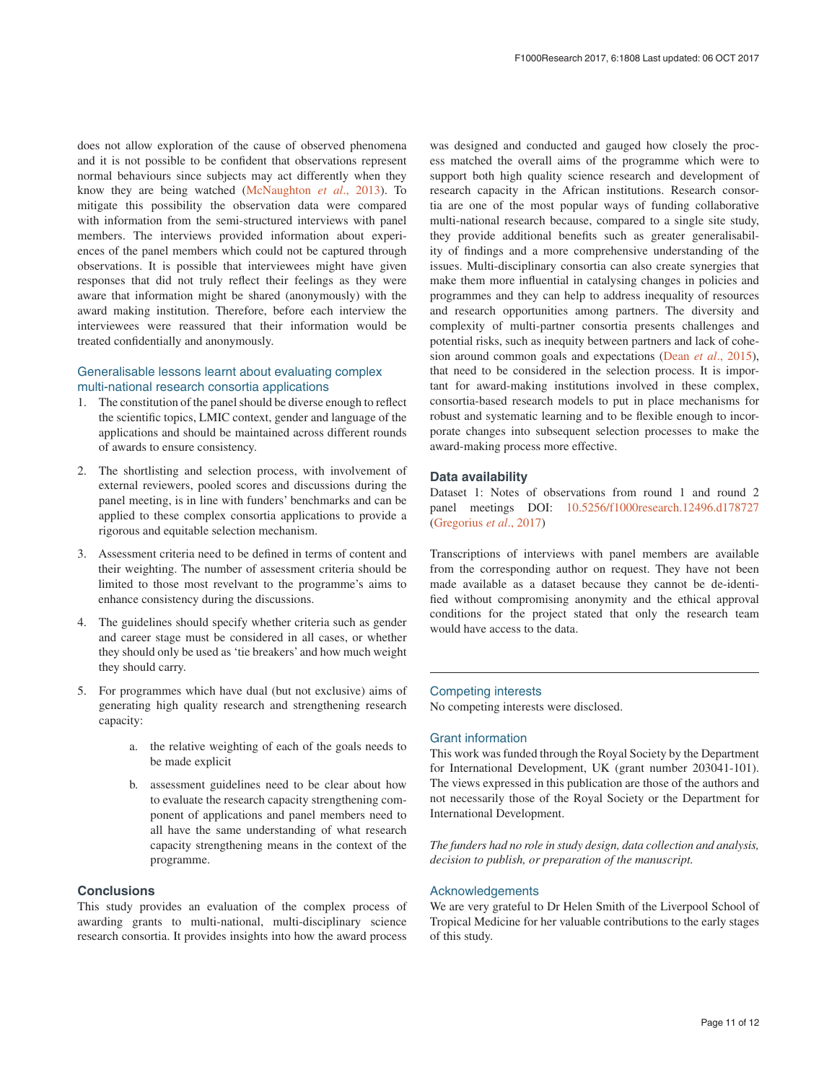does not allow exploration of the cause of observed phenomena and it is not possible to be confident that observations represent normal behaviours since subjects may act differently when they know they are being watched [\(McNaughton](#page-11-0) *et al*., 2013). To mitigate this possibility the observation data were compared with information from the semi-structured interviews with panel members. The interviews provided information about experiences of the panel members which could not be captured through observations. It is possible that interviewees might have given responses that did not truly reflect their feelings as they were aware that information might be shared (anonymously) with the award making institution. Therefore, before each interview the interviewees were reassured that their information would be treated confidentially and anonymously.

# Generalisable lessons learnt about evaluating complex multi-national research consortia applications

- 1. The constitution of the panel should be diverse enough to reflect the scientific topics, LMIC context, gender and language of the applications and should be maintained across different rounds of awards to ensure consistency.
- 2. The shortlisting and selection process, with involvement of external reviewers, pooled scores and discussions during the panel meeting, is in line with funders' benchmarks and can be applied to these complex consortia applications to provide a rigorous and equitable selection mechanism.
- 3. Assessment criteria need to be defined in terms of content and their weighting. The number of assessment criteria should be limited to those most revelvant to the programme's aims to enhance consistency during the discussions.
- 4. The guidelines should specify whether criteria such as gender and career stage must be considered in all cases, or whether they should only be used as 'tie breakers' and how much weight they should carry.
- 5. For programmes which have dual (but not exclusive) aims of generating high quality research and strengthening research capacity:
	- a. the relative weighting of each of the goals needs to be made explicit
	- b. assessment guidelines need to be clear about how to evaluate the research capacity strengthening component of applications and panel members need to all have the same understanding of what research capacity strengthening means in the context of the programme.

# **Conclusions**

This study provides an evaluation of the complex process of awarding grants to multi-national, multi-disciplinary science research consortia. It provides insights into how the award process

was designed and conducted and gauged how closely the process matched the overall aims of the programme which were to support both high quality science research and development of research capacity in the African institutions. Research consortia are one of the most popular ways of funding collaborative multi-national research because, compared to a single site study, they provide additional benefits such as greater generalisability of findings and a more comprehensive understanding of the issues. Multi-disciplinary consortia can also create synergies that make them more influential in catalysing changes in policies and programmes and they can help to address inequality of resources and research opportunities among partners. The diversity and complexity of multi-partner consortia presents challenges and potential risks, such as inequity between partners and lack of cohesion around common goals and expectations (Dean *et al*[., 2015](#page-11-0)), that need to be considered in the selection process. It is important for award-making institutions involved in these complex, consortia-based research models to put in place mechanisms for robust and systematic learning and to be flexible enough to incorporate changes into subsequent selection processes to make the award-making process more effective.

## **Data availability**

Dataset 1: Notes of observations from round 1 and round 2 panel meetings DOI: [10.5256/f1000research.12496.d178727](http://dx.doi.org/10.5256/f1000research.12496.d178727) ([Gregorius](#page-11-0) *et al*., 2017)

Transcriptions of interviews with panel members are available from the corresponding author on request. They have not been made available as a dataset because they cannot be de-identified without compromising anonymity and the ethical approval conditions for the project stated that only the research team would have access to the data.

## Competing interests

No competing interests were disclosed.

### Grant information

This work was funded through the Royal Society by the Department for International Development, UK (grant number 203041-101). The views expressed in this publication are those of the authors and not necessarily those of the Royal Society or the Department for International Development.

*The funders had no role in study design, data collection and analysis, decision to publish, or preparation of the manuscript.*

## Acknowledgements

We are very grateful to Dr Helen Smith of the Liverpool School of Tropical Medicine for her valuable contributions to the early stages of this study.